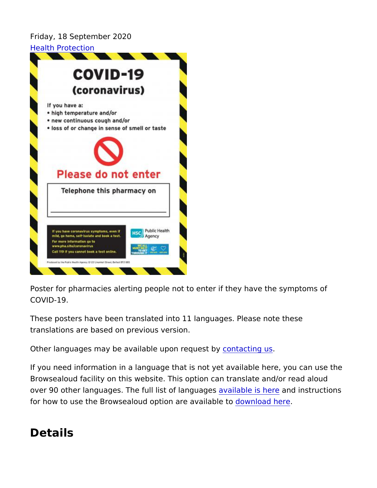Friday, 18 September 2020 [Health Prote](https://www.publichealth.hscni.net/directorates/public-health/health-protection)ction

Poster for pharmacies alerting people not to enter if they have the COVID-19.

These posters have been translated into 11 languages. Please no translations are based on previous version.

Other languages may be available upconntaquiast ubsy

If you need information in a language that is not yet available he Browsealoud facility on this website. This option can translate an over 90 other languages. The full list of labing us generale instructions for how to use the Browsealoud option doev al candidable eto

Details